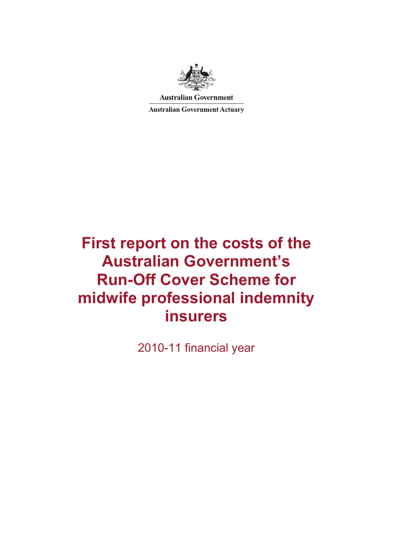

**Australian Government** 

**Australian Government Actuary** 

# **First report on the costs of the Australian Government's Run-Off Cover Scheme for midwife professional indemnity insurers**

2010-11 financial year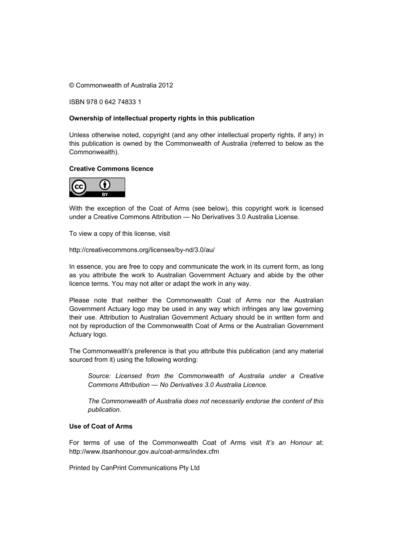© Commonwealth of Australia 2012

ISBN 978 0 642 74833 1

#### **Ownership of intellectual property rights in this publication**

Unless otherwise noted, copyright (and any other intellectual property rights, if any) in this publication is owned by the Commonwealth of Australia (referred to below as the Commonwealth).

#### **Creative Commons licence**



With the exception of the Coat of Arms (see below), this copyright work is licensed under a Creative Commons Attribution — No Derivatives 3.0 Australia License.

To view a copy of this license, visit

http://creativecommons.org/licenses/by-nd/3.0/au/

In essence, you are free to copy and communicate the work in its current form, as long as you attribute the work to Australian Government Actuary and abide by the other licence terms. You may not alter or adapt the work in any way.

Please note that neither the Commonwealth Coat of Arms nor the Australian Government Actuary logo may be used in any way which infringes any law governing their use. Attribution to Australian Government Actuary should be in written form and not by reproduction of the Commonwealth Coat of Arms or the Australian Government Actuary logo.

The Commonwealth's preference is that you attribute this publication (and any material sourced from it) using the following wording:

*Source: Licensed from the Commonwealth of Australia under a Creative Commons Attribution — No Derivatives 3.0 Australia Licence.* 

*The Commonwealth of Australia does not necessarily endorse the content of this publication.* 

#### **Use of Coat of Arms**

For terms of use of the Commonwealth Coat of Arms visit *It's an Honour* at: http://www.itsanhonour.gov.au/coat-arms/index.cfm

Printed by CanPrint Communications Pty Ltd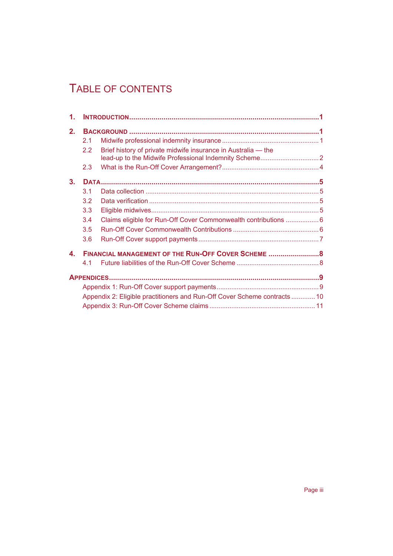## TABLE OF CONTENTS

| 1.               |                                                                          |                                                                 |  |
|------------------|--------------------------------------------------------------------------|-----------------------------------------------------------------|--|
| 2.               |                                                                          |                                                                 |  |
|                  | 2.1                                                                      |                                                                 |  |
|                  | 2.2                                                                      | Brief history of private midwife insurance in Australia - the   |  |
|                  | 2.3                                                                      |                                                                 |  |
| 3.               |                                                                          |                                                                 |  |
|                  | 3.1                                                                      |                                                                 |  |
|                  | 3.2                                                                      |                                                                 |  |
|                  | 3.3                                                                      |                                                                 |  |
|                  | 3.4                                                                      | Claims eligible for Run-Off Cover Commonwealth contributions  6 |  |
|                  | 3.5                                                                      |                                                                 |  |
|                  | 3.6                                                                      |                                                                 |  |
| $\blacktriangle$ | FINANCIAL MANAGEMENT OF THE RUN-OFF COVER SCHEME  8                      |                                                                 |  |
|                  | 4.1                                                                      |                                                                 |  |
|                  |                                                                          |                                                                 |  |
|                  |                                                                          |                                                                 |  |
|                  | Appendix 2: Eligible practitioners and Run-Off Cover Scheme contracts 10 |                                                                 |  |
|                  |                                                                          |                                                                 |  |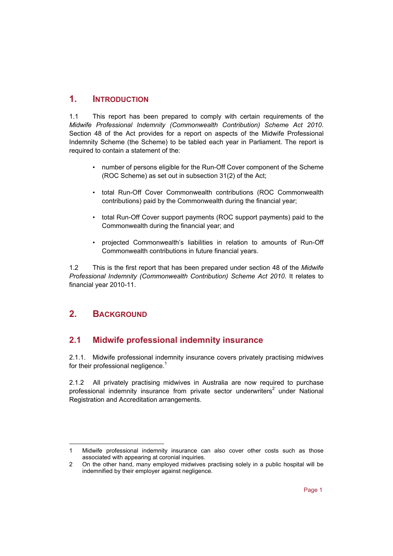#### **1. INTRODUCTION**

1.1 This report has been prepared to comply with certain requirements of the *Midwife Professional Indemnity (Commonwealth Contribution) Scheme Act 2010*. Section 48 of the Act provides for a report on aspects of the Midwife Professional Indemnity Scheme (the Scheme) to be tabled each year in Parliament. The report is required to contain a statement of the:

- number of persons eligible for the Run-Off Cover component of the Scheme (ROC Scheme) as set out in subsection 31(2) of the Act;
- total Run-Off Cover Commonwealth contributions (ROC Commonwealth contributions) paid by the Commonwealth during the financial year;
- total Run-Off Cover support payments (ROC support payments) paid to the Commonwealth during the financial year; and
- projected Commonwealth's liabilities in relation to amounts of Run-Off Commonwealth contributions in future financial years.

1.2 This is the first report that has been prepared under section 48 of the *Midwife Professional Indemnity (Commonwealth Contribution) Scheme Act 2010*. It relates to financial year 2010-11.

## **2. BACKGROUND**

## **2.1 Midwife professional indemnity insurance**

2.1.1. Midwife professional indemnity insurance covers privately practising midwives for their professional negligence.<sup>1</sup>

2.1.2 All privately practising midwives in Australia are now required to purchase professional indemnity insurance from private sector underwriters<sup>2</sup> under National Registration and Accreditation arrangements.

l 1 Midwife professional indemnity insurance can also cover other costs such as those associated with appearing at coronial inquiries.

<sup>2</sup> On the other hand, many employed midwives practising solely in a public hospital will be indemnified by their employer against negligence.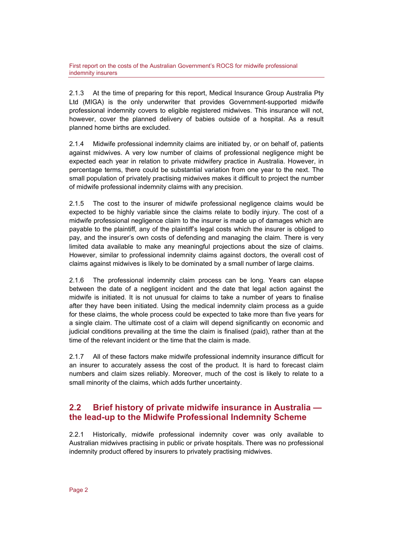2.1.3 At the time of preparing for this report, Medical Insurance Group Australia Pty Ltd (MIGA) is the only underwriter that provides Government-supported midwife professional indemnity covers to eligible registered midwives. This insurance will not, however, cover the planned delivery of babies outside of a hospital. As a result planned home births are excluded.

2.1.4 Midwife professional indemnity claims are initiated by, or on behalf of, patients against midwives. A very low number of claims of professional negligence might be expected each year in relation to private midwifery practice in Australia. However, in percentage terms, there could be substantial variation from one year to the next. The small population of privately practising midwives makes it difficult to project the number of midwife professional indemnity claims with any precision.

2.1.5 The cost to the insurer of midwife professional negligence claims would be expected to be highly variable since the claims relate to bodily injury. The cost of a midwife professional negligence claim to the insurer is made up of damages which are payable to the plaintiff*,* any of the plaintiff's legal costs which the insurer is obliged to pay, and the insurer's own costs of defending and managing the claim*.* There is very limited data available to make any meaningful projections about the size of claims. However, similar to professional indemnity claims against doctors, the overall cost of claims against midwives is likely to be dominated by a small number of large claims.

2.1.6 The professional indemnity claim process can be long. Years can elapse between the date of a negligent incident and the date that legal action against the midwife is initiated. It is not unusual for claims to take a number of years to finalise after they have been initiated. Using the medical indemnity claim process as a guide for these claims, the whole process could be expected to take more than five years for a single claim. The ultimate cost of a claim will depend significantly on economic and judicial conditions prevailing at the time the claim is finalised (paid), rather than at the time of the relevant incident or the time that the claim is made.

2.1.7 All of these factors make midwife professional indemnity insurance difficult for an insurer to accurately assess the cost of the product. It is hard to forecast claim numbers and claim sizes reliably. Moreover, much of the cost is likely to relate to a small minority of the claims, which adds further uncertainty.

#### **2.2 Brief history of private midwife insurance in Australia the lead-up to the Midwife Professional Indemnity Scheme**

2.2.1 Historically, midwife professional indemnity cover was only available to Australian midwives practising in public or private hospitals. There was no professional indemnity product offered by insurers to privately practising midwives.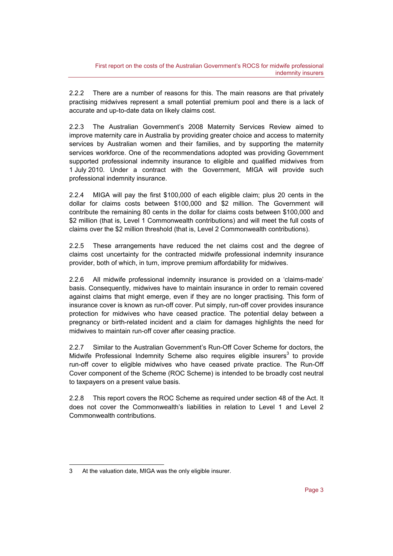2.2.2 There are a number of reasons for this. The main reasons are that privately practising midwives represent a small potential premium pool and there is a lack of accurate and up-to-date data on likely claims cost.

2.2.3 The Australian Government's 2008 Maternity Services Review aimed to improve maternity care in Australia by providing greater choice and access to maternity services by Australian women and their families, and by supporting the maternity services workforce. One of the recommendations adopted was providing Government supported professional indemnity insurance to eligible and qualified midwives from 1 July 2010. Under a contract with the Government, MIGA will provide such professional indemnity insurance.

2.2.4 MIGA will pay the first \$100,000 of each eligible claim; plus 20 cents in the dollar for claims costs between \$100,000 and \$2 million. The Government will contribute the remaining 80 cents in the dollar for claims costs between \$100,000 and \$2 million (that is, Level 1 Commonwealth contributions) and will meet the full costs of claims over the \$2 million threshold (that is, Level 2 Commonwealth contributions).

2.2.5 These arrangements have reduced the net claims cost and the degree of claims cost uncertainty for the contracted midwife professional indemnity insurance provider, both of which, in turn, improve premium affordability for midwives.

2.2.6 All midwife professional indemnity insurance is provided on a 'claims-made' basis. Consequently, midwives have to maintain insurance in order to remain covered against claims that might emerge, even if they are no longer practising*.* This form of insurance cover is known as run-off cover. Put simply, run-off cover provides insurance protection for midwives who have ceased practice. The potential delay between a pregnancy or birth-related incident and a claim for damages highlights the need for midwives to maintain run-off cover after ceasing practice.

2.2.7 Similar to the Australian Government's Run-Off Cover Scheme for doctors, the Midwife Professional Indemnity Scheme also requires eligible insurers<sup>3</sup> to provide run-off cover to eligible midwives who have ceased private practice. The Run-Off Cover component of the Scheme (ROC Scheme) is intended to be broadly cost neutral to taxpayers on a present value basis.

2.2.8 This report covers the ROC Scheme as required under section 48 of the Act. It does not cover the Commonwealth's liabilities in relation to Level 1 and Level 2 Commonwealth contributions.

l

<sup>3</sup> At the valuation date, MIGA was the only eligible insurer.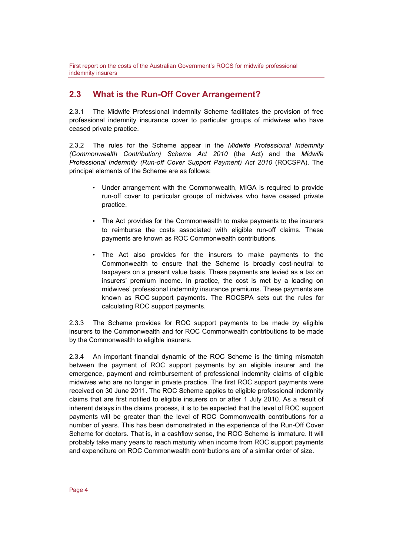#### **2.3 What is the Run-Off Cover Arrangement?**

2.3.1 The Midwife Professional Indemnity Scheme facilitates the provision of free professional indemnity insurance cover to particular groups of midwives who have ceased private practice.

2.3.2 The rules for the Scheme appear in the *Midwife Professional Indemnity (Commonwealth Contribution) Scheme Act 2010* (the Act) and the *Midwife Professional Indemnity (Run-off Cover Support Payment) Act 2010* (ROCSPA). The principal elements of the Scheme are as follows:

- Under arrangement with the Commonwealth, MIGA is required to provide run-off cover to particular groups of midwives who have ceased private practice.
- The Act provides for the Commonwealth to make payments to the insurers to reimburse the costs associated with eligible run-off claims. These payments are known as ROC Commonwealth contributions.
- The Act also provides for the insurers to make payments to the Commonwealth to ensure that the Scheme is broadly cost-neutral to taxpayers on a present value basis. These payments are levied as a tax on insurers' premium income. In practice, the cost is met by a loading on midwives' professional indemnity insurance premiums. These payments are known as ROC support payments. The ROCSPA sets out the rules for calculating ROC support payments.

2.3.3 The Scheme provides for ROC support payments to be made by eligible insurers to the Commonwealth and for ROC Commonwealth contributions to be made by the Commonwealth to eligible insurers.

2.3.4 An important financial dynamic of the ROC Scheme is the timing mismatch between the payment of ROC support payments by an eligible insurer and the emergence, payment and reimbursement of professional indemnity claims of eligible midwives who are no longer in private practice. The first ROC support payments were received on 30 June 2011. The ROC Scheme applies to eligible professional indemnity claims that are first notified to eligible insurers on or after 1 July 2010. As a result of inherent delays in the claims process, it is to be expected that the level of ROC support payments will be greater than the level of ROC Commonwealth contributions for a number of years. This has been demonstrated in the experience of the Run-Off Cover Scheme for doctors. That is, in a cashflow sense, the ROC Scheme is immature. It will probably take many years to reach maturity when income from ROC support payments and expenditure on ROC Commonwealth contributions are of a similar order of size.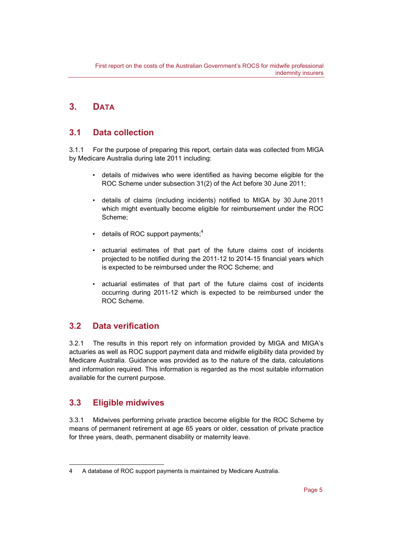### **3. DATA**

#### **3.1 Data collection**

3.1.1 For the purpose of preparing this report, certain data was collected from MIGA by Medicare Australia during late 2011 including:

- details of midwives who were identified as having become eligible for the ROC Scheme under subsection 31(2) of the Act before 30 June 2011;
- details of claims (including incidents) notified to MIGA by 30 June 2011 which might eventually become eligible for reimbursement under the ROC Scheme;
- details of ROC support payments;<sup>4</sup>
- actuarial estimates of that part of the future claims cost of incidents projected to be notified during the 2011-12 to 2014-15 financial years which is expected to be reimbursed under the ROC Scheme; and
- actuarial estimates of that part of the future claims cost of incidents occurring during 2011-12 which is expected to be reimbursed under the ROC Scheme.

#### **3.2 Data verification**

3.2.1 The results in this report rely on information provided by MIGA and MIGA's actuaries as well as ROC support payment data and midwife eligibility data provided by Medicare Australia. Guidance was provided as to the nature of the data, calculations and information required. This information is regarded as the most suitable information available for the current purpose.

## **3.3 Eligible midwives**

l

3.3.1 Midwives performing private practice become eligible for the ROC Scheme by means of permanent retirement at age 65 years or older, cessation of private practice for three years, death, permanent disability or maternity leave.

<sup>4</sup> A database of ROC support payments is maintained by Medicare Australia.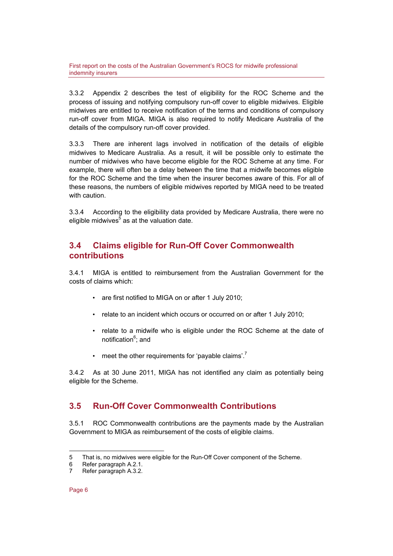3.3.2 Appendix 2 describes the test of eligibility for the ROC Scheme and the process of issuing and notifying compulsory run-off cover to eligible midwives. Eligible midwives are entitled to receive notification of the terms and conditions of compulsory run-off cover from MIGA. MIGA is also required to notify Medicare Australia of the details of the compulsory run-off cover provided.

3.3.3 There are inherent lags involved in notification of the details of eligible midwives to Medicare Australia. As a result, it will be possible only to estimate the number of midwives who have become eligible for the ROC Scheme at any time. For example, there will often be a delay between the time that a midwife becomes eligible for the ROC Scheme and the time when the insurer becomes aware of this. For all of these reasons, the numbers of eligible midwives reported by MIGA need to be treated with caution.

3.3.4 According to the eligibility data provided by Medicare Australia, there were no eligible midwives $<sup>5</sup>$  as at the valuation date.</sup>

#### **3.4 Claims eligible for Run-Off Cover Commonwealth contributions**

3.4.1 MIGA is entitled to reimbursement from the Australian Government for the costs of claims which:

- are first notified to MIGA on or after 1 July 2010;
- relate to an incident which occurs or occurred on or after 1 July 2010;
- relate to a midwife who is eligible under the ROC Scheme at the date of notification<sup>6</sup>; and
- meet the other requirements for 'payable claims'.<sup>7</sup>

3.4.2 As at 30 June 2011, MIGA has not identified any claim as potentially being eligible for the Scheme.

## **3.5 Run-Off Cover Commonwealth Contributions**

3.5.1 ROC Commonwealth contributions are the payments made by the Australian Government to MIGA as reimbursement of the costs of eligible claims.

l 5 That is, no midwives were eligible for the Run-Off Cover component of the Scheme.

<sup>6</sup> Refer paragraph A.2.1.

<sup>7</sup> Refer paragraph A.3.2.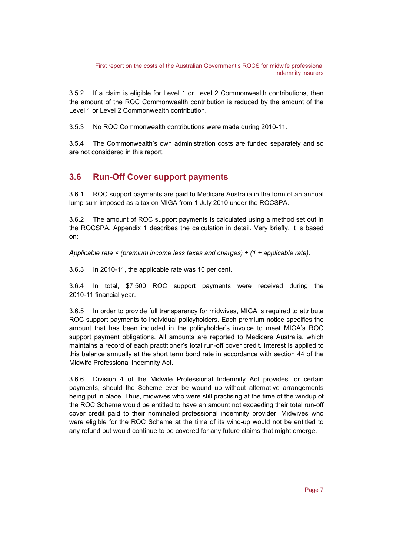3.5.2 If a claim is eligible for Level 1 or Level 2 Commonwealth contributions, then the amount of the ROC Commonwealth contribution is reduced by the amount of the Level 1 or Level 2 Commonwealth contribution.

3.5.3 No ROC Commonwealth contributions were made during 2010-11.

3.5.4 The Commonwealth's own administration costs are funded separately and so are not considered in this report.

### **3.6 Run-Off Cover support payments**

3.6.1 ROC support payments are paid to Medicare Australia in the form of an annual lump sum imposed as a tax on MIGA from 1 July 2010 under the ROCSPA.

3.6.2 The amount of ROC support payments is calculated using a method set out in the ROCSPA. Appendix 1 describes the calculation in detail. Very briefly, it is based on:

*Applicable rate × (premium income less taxes and charges) ÷ (1 + applicable rate).* 

3.6.3 In 2010-11, the applicable rate was 10 per cent.

3.6.4 In total, \$7,500 ROC support payments were received during the 2010-11 financial year.

3.6.5 In order to provide full transparency for midwives, MIGA is required to attribute ROC support payments to individual policyholders. Each premium notice specifies the amount that has been included in the policyholder's invoice to meet MIGA's ROC support payment obligations. All amounts are reported to Medicare Australia, which maintains a record of each practitioner's total run-off cover credit. Interest is applied to this balance annually at the short term bond rate in accordance with section 44 of the Midwife Professional Indemnity Act.

3.6.6 Division 4 of the Midwife Professional Indemnity Act provides for certain payments, should the Scheme ever be wound up without alternative arrangements being put in place. Thus, midwives who were still practising at the time of the windup of the ROC Scheme would be entitled to have an amount not exceeding their total run-off cover credit paid to their nominated professional indemnity provider. Midwives who were eligible for the ROC Scheme at the time of its wind-up would not be entitled to any refund but would continue to be covered for any future claims that might emerge.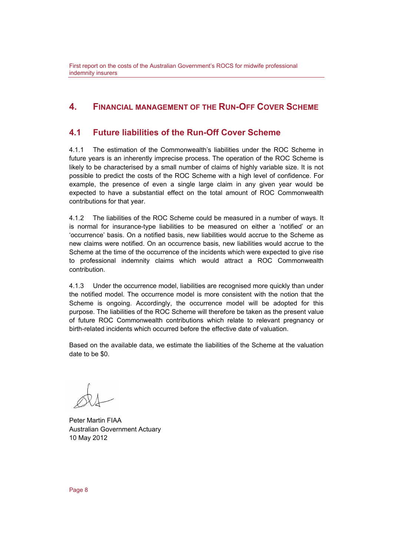#### **4. FINANCIAL MANAGEMENT OF THE RUN-OFF COVER SCHEME**

#### **4.1 Future liabilities of the Run-Off Cover Scheme**

4.1.1 The estimation of the Commonwealth's liabilities under the ROC Scheme in future years is an inherently imprecise process. The operation of the ROC Scheme is likely to be characterised by a small number of claims of highly variable size. It is not possible to predict the costs of the ROC Scheme with a high level of confidence. For example, the presence of even a single large claim in any given year would be expected to have a substantial effect on the total amount of ROC Commonwealth contributions for that year.

4.1.2 The liabilities of the ROC Scheme could be measured in a number of ways. It is normal for insurance-type liabilities to be measured on either a 'notified' or an 'occurrence' basis. On a notified basis, new liabilities would accrue to the Scheme as new claims were notified. On an occurrence basis, new liabilities would accrue to the Scheme at the time of the occurrence of the incidents which were expected to give rise to professional indemnity claims which would attract a ROC Commonwealth contribution.

4.1.3 Under the occurrence model, liabilities are recognised more quickly than under the notified model. The occurrence model is more consistent with the notion that the Scheme is ongoing. Accordingly, the occurrence model will be adopted for this purpose. The liabilities of the ROC Scheme will therefore be taken as the present value of future ROC Commonwealth contributions which relate to relevant pregnancy or birth-related incidents which occurred before the effective date of valuation.

Based on the available data, we estimate the liabilities of the Scheme at the valuation date to be \$0.

Peter Martin FIAA Australian Government Actuary 10 May 2012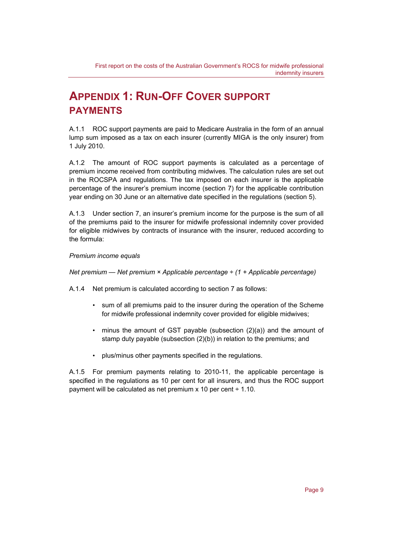## **APPENDIX 1: RUN-OFF COVER SUPPORT PAYMENTS**

A.1.1 ROC support payments are paid to Medicare Australia in the form of an annual lump sum imposed as a tax on each insurer (currently MIGA is the only insurer) from 1 July 2010.

A.1.2 The amount of ROC support payments is calculated as a percentage of premium income received from contributing midwives. The calculation rules are set out in the ROCSPA and regulations. The tax imposed on each insurer is the applicable percentage of the insurer's premium income (section 7) for the applicable contribution year ending on 30 June or an alternative date specified in the regulations (section 5).

A.1.3 Under section 7, an insurer's premium income for the purpose is the sum of all of the premiums paid to the insurer for midwife professional indemnity cover provided for eligible midwives by contracts of insurance with the insurer, reduced according to the formula:

#### *Premium income equals*

*Net premium — Net premium × Applicable percentage ÷ (1 + Applicable percentage)* 

A.1.4 Net premium is calculated according to section 7 as follows:

- sum of all premiums paid to the insurer during the operation of the Scheme for midwife professional indemnity cover provided for eligible midwives;
- minus the amount of GST payable (subsection (2)(a)) and the amount of stamp duty payable (subsection (2)(b)) in relation to the premiums; and
- plus/minus other payments specified in the regulations.

A.1.5 For premium payments relating to 2010-11, the applicable percentage is specified in the regulations as 10 per cent for all insurers, and thus the ROC support payment will be calculated as net premium  $x$  10 per cent  $\div$  1.10.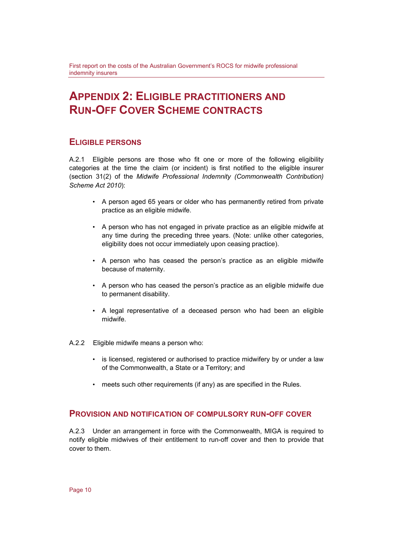## **APPENDIX 2: ELIGIBLE PRACTITIONERS AND RUN-OFF COVER SCHEME CONTRACTS**

#### **ELIGIBLE PERSONS**

A.2.1 Eligible persons are those who fit one or more of the following eligibility categories at the time the claim (or incident) is first notified to the eligible insurer (section 31(2) of the *Midwife Professional Indemnity (Commonwealth Contribution) Scheme Act 2010*):

- A person aged 65 years or older who has permanently retired from private practice as an eligible midwife.
- A person who has not engaged in private practice as an eligible midwife at any time during the preceding three years. (Note: unlike other categories, eligibility does not occur immediately upon ceasing practice).
- A person who has ceased the person's practice as an eligible midwife because of maternity.
- A person who has ceased the person's practice as an eligible midwife due to permanent disability.
- A legal representative of a deceased person who had been an eligible midwife.
- A.2.2 Eligible midwife means a person who:
	- is licensed, registered or authorised to practice midwifery by or under a law of the Commonwealth, a State or a Territory; and
	- meets such other requirements (if any) as are specified in the Rules.

#### **PROVISION AND NOTIFICATION OF COMPULSORY RUN-OFF COVER**

A.2.3 Under an arrangement in force with the Commonwealth, MIGA is required to notify eligible midwives of their entitlement to run-off cover and then to provide that cover to them.